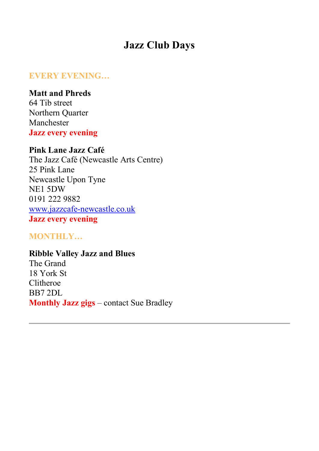# **Jazz Club Day[s](https://northernjazzpromoters.org/promoters/#every)**

### **EVERY EVENING…**

**Matt and Phreds** 64 Tib street Northern Quarter Manchester **Jazz every evening**

# **Pink Lane Jazz Café**

The Jazz Café (Newcastle Arts Centre) 25 Pink Lane Newcastle Upon Tyne NE1 5DW 0191 222 9882 [www.jazzcafe-newcastle.co.uk](http://www.jazzcafe-newcastle.co.uk/) **Jazz every evening**

**MONTHLY…**

**Ribble Valley Jazz and Blues** The Grand 18 York St Clitheroe BB7 2DL **Monthly Jazz gigs** – contact Sue Bradley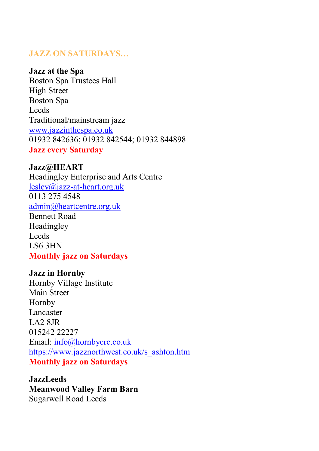# **JAZZ ON SATURDAYS…**

#### **Jazz at the Spa**

Boston Spa Trustees Hall High Street Boston Spa Leeds Traditional/mainstream jazz [www.jazzinthespa.co.uk](http://www.jazzinthespa.co.uk/) 01932 842636; 01932 842544; 01932 844898 **Jazz every Saturday**

#### **Jazz@HEART**

Headingley Enterprise and Arts Centre [lesley@jazz-at-heart.org.uk](javascript:;) 0113 275 4548 [admin@heartcentre.org.uk](javascript:;) Bennett Road Headingley Leeds LS6 3HN **Monthly jazz on Saturdays**

#### **Jazz in Hornby**

Hornby Village Institute Main Street Hornby Lancaster LA2 8JR 015242 22227 Email: [info@hornbycrc.co.uk](javascript:;) [https://www.jazznorthwest.co.uk/s\\_ashton.htm](https://www.jazznorthwest.co.uk/s_ashton.htm) **Monthly jazz on Saturdays**

**JazzLeeds Meanwood Valley Farm Barn** Sugarwell Road Leeds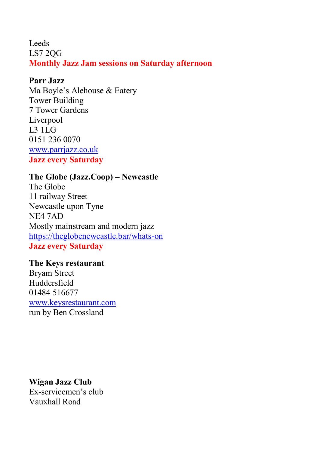Leeds LS7 2QG **Monthly Jazz Jam sessions on Saturday afternoon**

### **Parr Jazz**

Ma Boyle's Alehouse & Eatery Tower Building 7 Tower Gardens Liverpool L3 1LG 0151 236 0070 [www.parrjazz.co.uk](https://www.parrjazz.co.uk/) **Jazz every Saturday**

# **The Globe (Jazz.Coop) – Newcastle**

The Globe 11 railway Street Newcastle upon Tyne NE4 7AD Mostly mainstream and modern jazz [https://theglobenewcastle.bar/whats-on](https://theglobenewcastle.bar/whats-on/) **Jazz every Saturday**

**The Keys restaurant** Bryam Street Huddersfield 01484 516677 [www.keysrestaurant.com](https://thekeyshuddersfield.uk/events/) run by Ben Crossland

**Wigan Jazz Club** Ex-servicemen's club Vauxhall Road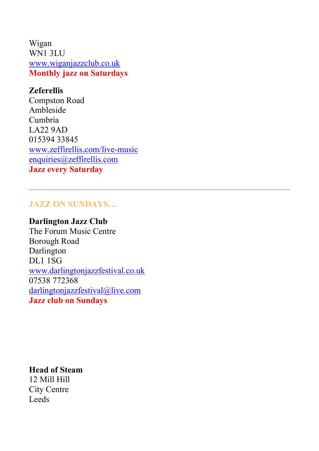Wigan WN1 3LU [www.wiganjazzclub.co.uk](https://www.wiganjazzclub.co.uk/) **Monthly jazz on Saturdays**

# **Zeferellis**

Compston Road Ambleside Cumbria LA22 9AD 015394 33845 [www.zeffirellis.com/live-music](https://www.zeffirellis.com/live-music) [enquiries@zeffirellis.com](javascript:;) **Jazz every Saturday**

# **JAZZ ON SUNDAYS…**

# **Darlington Jazz Club**

The Forum Music Centre Borough Road Darlington DL1 1SG [www.darlingtonjazzfestival.co.uk](https://www.darlingtonjazzfestival.co.uk/) 07538 772368 [darlingtonjazzfestival@live.com](javascript:;) **Jazz club on Sundays**

**Head of Steam** 12 Mill Hill City Centre Leeds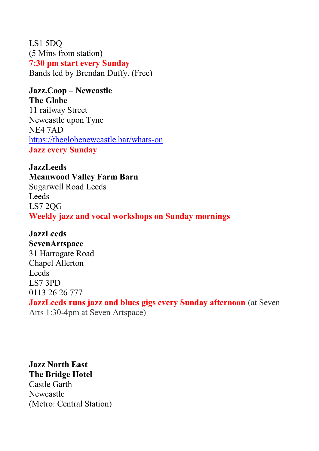LS1 5DQ (5 Mins from station) **7:30 pm start every Sunday** Bands led by Brendan Duffy. (Free)

# **Jazz.Coop – Newcastle The Globe**

11 railway Street Newcastle upon Tyne NE4 7AD [https://theglobenewcastle.bar/whats-on](https://theglobenewcastle.bar/whats-on/) **Jazz every Sunday**

**JazzLeeds Meanwood Valley Farm Barn** Sugarwell Road Leeds Leeds LS7 2QG **Weekly jazz and vocal workshops on Sunday mornings**

**JazzLeeds SevenArtspace** 31 Harrogate Road Chapel Allerton Leeds LS7 3PD 0113 26 26 777 **JazzLeeds runs jazz and blues gigs every Sunday afternoon** (at Seven Arts 1:30-4pm at Seven Artspace)

**Jazz North East The Bridge Hotel** Castle Garth Newcastle (Metro: Central Station)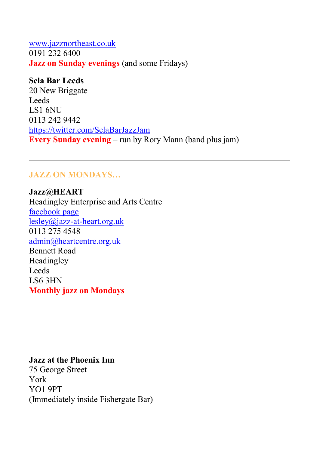[www.jazznortheast.co.uk](https://www.jazznortheast.co.uk/) 0191 232 6400 **Jazz on Sunday evenings** (and some Fridays)

**Sela Bar Leeds** 20 New Briggate Leeds LS1 6NU 0113 242 9442 <https://twitter.com/SelaBarJazzJam> **Every Sunday evening** – run by Rory Mann (band plus jam)

# **JAZZ ON MONDAYS…**

**Jazz@HEART** Headingley Enterprise and Arts Centre [facebook page](https://www.facebook.com/Jazz-at-Heart-184374588253443/) [lesley@jazz-at-heart.org.uk](javascript:;) 0113 275 4548 [admin@heartcentre.org.uk](javascript:;) Bennett Road Headingley Leeds LS6 3HN **Monthly jazz on Mondays**

#### **Jazz at the Phoenix Inn**

75 George Street York YO1 9PT (Immediately inside Fishergate Bar)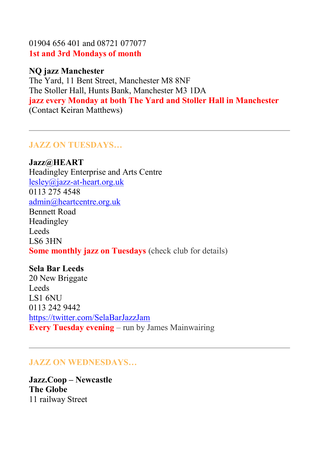01904 656 401 and 08721 077077 **1st and 3rd Mondays of month**

#### **NQ jazz Manchester**

The Yard, 11 Bent Street, Manchester M8 8NF The Stoller Hall, Hunts Bank, Manchester M3 1DA **jazz every Monday at both The Yard and Stoller Hall in Manchester** (Contact Keiran Matthews)

# **JAZZ ON TUESDAYS…**

**Jazz@HEART** Headingley Enterprise and Arts Centre [lesley@jazz-at-heart.org.uk](javascript:;) 0113 275 4548 [admin@heartcentre.org.uk](javascript:;) Bennett Road Headingley Leeds LS6 3HN **Some monthly jazz on Tuesdays** (check club for details)

### **Sela Bar Leeds**

20 New Briggate Leeds LS1 6NU 0113 242 9442 <https://twitter.com/SelaBarJazzJam> **Every Tuesday evening** – run by James Mainwairing

# **JAZZ ON WEDNESDAYS…**

**Jazz.Coop – Newcastle The Globe** 11 railway Street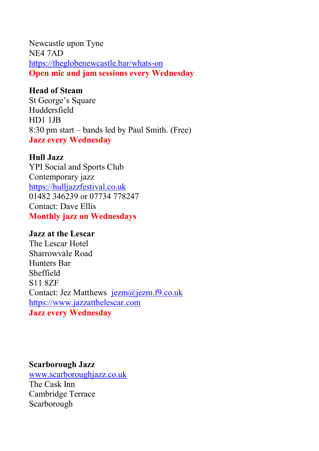Newcastle upon Tyne NE4 7AD [https://theglobenewcastle.bar/whats-on](https://theglobenewcastle.bar/whats-on/) **Open mic and jam sessions every Wednesday**

# **Head of Steam**

St George's Square Huddersfield HD1 1JB 8:30 pm start – bands led by Paul Smith. (Free) **Jazz every Wednesday**

### **Hull Jazz**

YPI Social and Sports Club Contemporary jazz [https://hulljazzfestival.co.uk](https://hulljazzfestival.co.uk/) 01482 346239 or 07734 778247 Contact: Dave Ellis **Monthly jazz on Wednesdays**

### **Jazz at the Lescar**

The Lescar Hotel Sharrowvale Road Hunters Bar Sheffield S11 8ZF Contact: Jez Matthews [jezm@jezm.f9.co.uk](javascript:;) [https://www.jazzatthelescar.com](http://www.jazzatthelescar.com/) **Jazz every Wednesday**

### **Scarborough Jazz**

[www.scarboroughjazz.co.uk](https://www.scarboroughjazz.co.uk/) The Cask Inn Cambridge Terrace Scarborough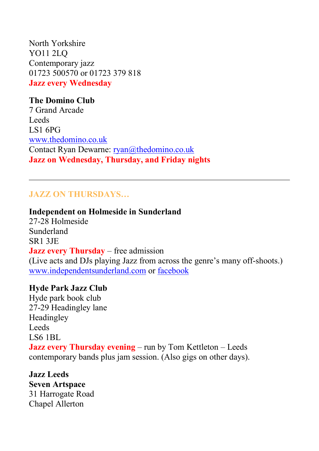North Yorkshire YO11 2LQ Contemporary jazz 01723 500570 or 01723 379 818 **Jazz every Wednesday**

# **The Domino Club** 7 Grand Arcade Leeds LS1 6PG [www.thedomino.co.uk](https://www.thedomino.co.uk/) Contact Ryan Dewarne: [ryan@thedomino.co.uk](javascript:;) **Jazz on Wednesday, Thursday, and Friday nights**

# **JAZZ ON THURSDAYS…**

**Independent on Holmeside in Sunderland** 27-28 Holmeside Sunderland SR1 3JE **Jazz every Thursday** – free admission (Live acts and DJs playing Jazz from across the genre's many off-shoots.) [www.independentsunderland.com](https://www.independentsunderland.com/) or [facebook](https://www.facebook.com/events/1563294573989711)

### **Hyde Park Jazz Club**

Hyde park book club 27-29 Headingley lane Headingley Leeds LS6 1BL **Jazz every Thursday evening** – run by Tom Kettleton – Leeds contemporary bands plus jam session. (Also gigs on other days).

**Jazz Leeds Seven Artspace** 31 Harrogate Road Chapel Allerton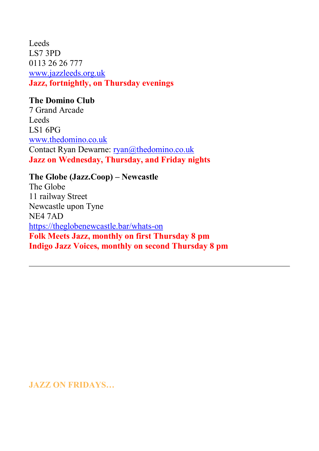Leeds LS7 3PD 0113 26 26 777 [www.jazzleeds.org.uk](https://www.jazzleeds.org.uk/) **Jazz, fortnightly, on Thursday evenings**

# **The Domino Club**

7 Grand Arcade Leeds LS1 6PG [www.thedomino.co.uk](https://www.thedomino.co.uk/) Contact Ryan Dewarne: [ryan@thedomino.co.uk](javascript:;) **Jazz on Wednesday, Thursday, and Friday nights**

#### **The Globe (Jazz.Coop) – Newcastle**

The Globe 11 railway Street Newcastle upon Tyne NE4 7AD <https://theglobenewcastle.bar/whats-on> **Folk Meets Jazz, monthly on first Thursday 8 pm Indigo Jazz Voices, monthly on second Thursday 8 pm**

# **JAZZ ON FRIDAYS…**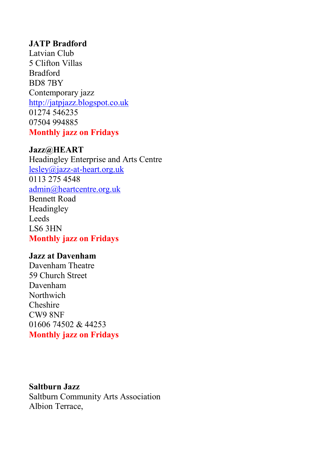# **JATP Bradford**

Latvian Club 5 Clifton Villas Bradford BD8 7BY Contemporary jazz [http://jatpjazz.blogspot.co.uk](https://jatpjazz.blogspot.co.uk/) 01274 546235 07504 994885 **Monthly jazz on Fridays**

#### **Jazz@HEART**

Headingley Enterprise and Arts Centre [lesley@jazz-at-heart.org.uk](javascript:;) 0113 275 4548 [admin@heartcentre.org.uk](javascript:;) Bennett Road Headingley Leeds LS6 3HN **Monthly jazz on Fridays**

#### **Jazz at Davenham**

Davenham Theatre 59 Church Street Davenham Northwich Cheshire CW9 8NF 01606 74502 & 44253 **Monthly jazz on Fridays**

#### **Saltburn Jazz**

Saltburn Community Arts Association Albion Terrace,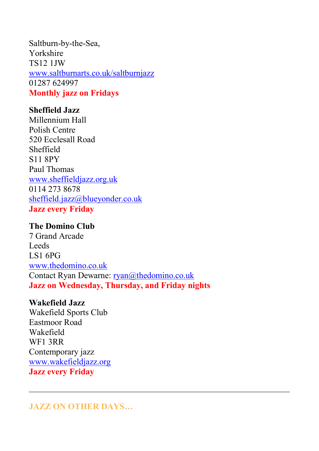Saltburn-by-the-Sea, Yorkshire TS12 1JW [www.saltburnarts.co.uk/saltburnjazz](https://www.saltburnarts.co.uk/saltburnjazz) 01287 624997 **Monthly jazz on Fridays**

# **Sheffield Jazz**

Millennium Hall Polish Centre 520 Ecclesall Road Sheffield S11 8PY Paul Thomas [www.sheffieldjazz.org.uk](https://www.sheffieldjazz.org.uk/) 0114 273 8678 [sheffield.jazz@blueyonder.co.uk](javascript:;) **Jazz every Friday**

#### **The Domino Club**

7 Grand Arcade Leeds LS1 6PG [www.thedomino.co.uk](https://www.thedomino.co.uk/) Contact Ryan Dewarne: [ryan@thedomino.co.uk](javascript:;) **Jazz on Wednesday, Thursday, and Friday nights**

#### **Wakefield Jazz**

Wakefield Sports Club Eastmoor Road Wakefield WF1 3RR Contemporary jazz [www.wakefieldjazz.org](https://www.wakefieldjazz.org/) **Jazz every Friday**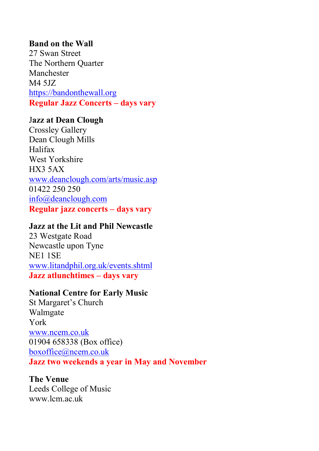# **Band on the Wall**

27 Swan Street The Northern Quarter Manchester M4 5JZ [https://bandonthewall.org](https://bandonthewall.org/) **Regular Jazz Concerts – days vary**

### J**azz at Dean Clough**

Crossley Gallery Dean Clough Mills Halifax West Yorkshire HX3 5AX [www.deanclough.com/arts/music.asp](https://www.deanclough.com/arts/music.asp) 01422 250 250 [info@deanclough.com](javascript:;) **Regular jazz concerts – days vary**

#### **Jazz at the Lit and Phil Newcastle**

23 Westgate Road Newcastle upon Tyne NE1 1SE [www.litandphil.org.uk/events.shtml](https://www.litandphil.org.uk/events.shtml) **Jazz atlunchtimes – days vary**

### **National Centre for Early Music**

St Margaret's Church Walmgate York [www.ncem.co.uk](https://www.ncem.co.uk/) 01904 658338 (Box office) [boxoffice@ncem.co.uk](javascript:;) **Jazz two weekends a year in May and November**

# **The Venue**

Leeds College of Music www.lcm.ac.uk